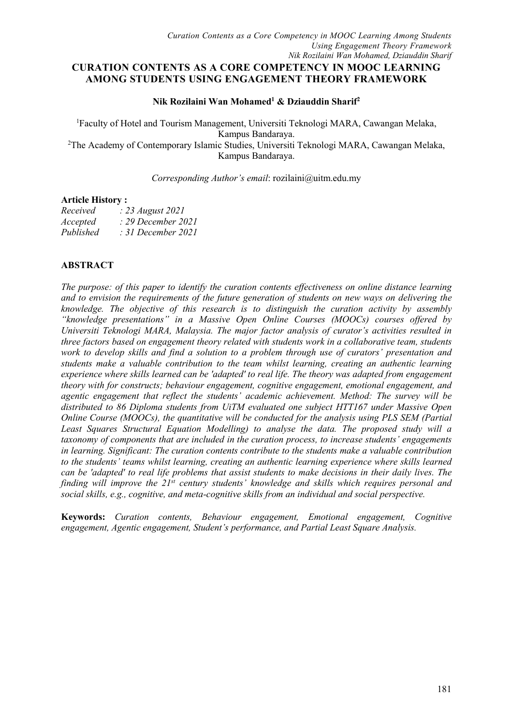# **CURATION CONTENTS AS A CORE COMPETENCY IN MOOC LEARNING AMONG STUDENTS USING ENGAGEMENT THEORY FRAMEWORK**

#### **Nik Rozilaini Wan Mohamed <sup>1</sup> & Dziauddin Sharif 2**

<sup>1</sup>Faculty of Hotel and Tourism Management, Universiti Teknologi MARA, Cawangan Melaka, Kampus Bandaraya. <sup>2</sup>The Academy of Contemporary Islamic Studies, Universiti Teknologi MARA, Cawangan Melaka,

Kampus Bandaraya.

*Corresponding Author's email*: rozilaini@uitm.edu.my

#### **Article History :**

| Received  | $\therefore$ 23 August 2021 |
|-----------|-----------------------------|
| Accepted  | $: 29$ December 2021        |
| Published | $: 31$ December 2021        |

# **ABSTRACT**

*The purpose: of this paper to identify the curation contents ef ectiveness on online distance learning and to envision the requirements of the future generation of students on new ways on delivering the knowledge. The objective of this research is to distinguish the curation activity by assembly "knowledge presentations" in a Massive Open Online Courses (MOOCs) courses of ered by Universiti Teknologi MARA, Malaysia. The major factor analysis of curator's activities resulted in three factors based on engagement theory related with students work in a collaborative team, students work to develop skills and find a solution to a problem through useof curators' presentation and students make a valuable contribution to the team whilst learning, creating an authentic learning experience where skills learned can be 'adapted' to real life. The theory was adapted from engagement theory with for constructs; behaviour engagement, cognitive engagement, emotional engagement, and agentic engagement that reflect the students' academic achievement. Method: The survey will be distributed to 86 Diploma students from UiTM evaluated one subjectHTT167 under Massive Open Online Course (MOOCs), the quantitative will be conducted for the analysis using PLS SEM (Partial Least Squares Structural Equation Modelling) to analyse the data. The proposed study will a taxonomy of components that are included in the curation process, to increase students' engagements in learning. Significant: The curation contents contribute to the students make a valuable contribution to the students' teams whilst learning, creating an authentic learning experience where skills learned* can be 'adapted' to real life problems that assist students to make decisions in their daily lives. The *finding will improve the 21 st century students' knowledge and skills which requires personal and social skills, e.g., cognitive, and meta-cognitive skills from an individual and social perspective.*

**Keywords:** *Curation contents, Behaviour engagement, Emotional engagement, Cognitive engagement, Agentic engagement, Student's performance, and Partial Least Square Analysis.*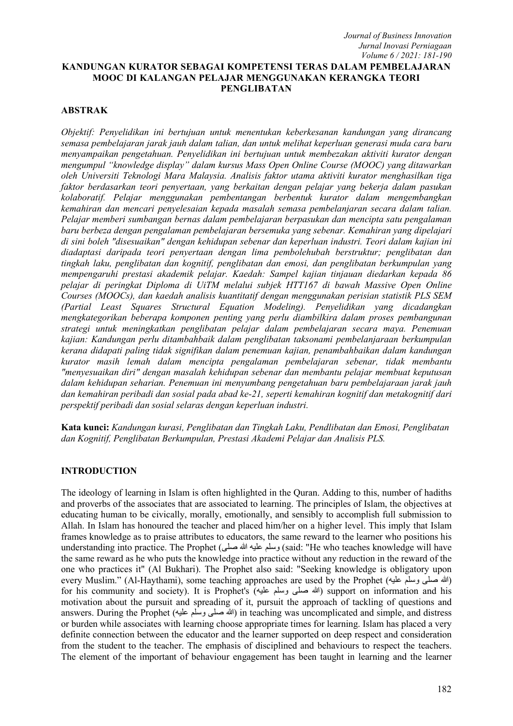## **KANDUNGAN KURATOR SEBAGAI KOMPETENSI TERAS DALAM PEMBELAJARAN MOOC DI KALANGAN PELAJAR MENGGUNAKAN KERANGKA TEORI PENGLIBATAN**

### **ABSTRAK**

*Objektif: Penyelidikan ini bertujuan untuk menentukan keberkesanan kandungan yang dirancang semasa pembelajaran jarak jauh dalam talian, dan untuk melihat keperluan generasi muda cara baru menyampaikan pengetahuan. Penyelidikan ini bertujuan untuk membezakan aktiviti kurator dengan mengumpul "knowledge display" dalam kursus Mass Open Online Course (MOOC) yang ditawarkan oleh Universiti Teknologi Mara Malaysia. Analisis faktor utama aktiviti kurator menghasilkan tiga faktor berdasarkan teori penyertaan, yang berkaitan dengan pelajar yang bekerja dalam pasukan kolaboratif. Pelajar menggunakan pembentangan berbentuk kurator dalam mengembangkan kemahiran dan mencari penyelesaian kepada masalah semasa pembelanjaran secara dalam talian. Pelajar memberi sumbangan bernas dalam pembelajaran berpasukan dan mencipta satu pengalaman baru berbeza dengan pengalaman pembelajaran bersemuka yang sebenar. Kemahiran yang dipelajari di sini boleh "disesuaikan" dengan kehidupan sebenar dan keperluan industri. Teori dalam kajian ini diadaptasi daripada teori penyertaan dengan lima pembolehubah berstruktur; penglibatan dan tingkah laku, penglibatan dan kognitif, penglibatan dan emosi, dan penglibatan berkumpulan yang mempengaruhi prestasi akademik pelajar. Kaedah: Sampel kajian tinjauan diedarkan kepada 86 pelajar di peringkat Diploma di UiTM melalui subjek HTT167 di bawah Massive Open Online Courses (MOOCs), dan kaedah analisis kuantitatif dengan menggunakan perisian statistik PLS SEM (Partial Least Squares Structural Equation Modeling). Penyelidikan yang dicadangkan mengkategorikan beberapa komponen penting yang perlu diambilkira dalam proses pembangunan strategi untuk meningkatkan penglibatan pelajar dalam pembelajaran secara maya. Penemuan kajian: Kandungan perlu ditambahbaik dalam penglibatan taksonami pembelanjaraan berkumpulan kerana didapati paling tidak signifikan dalam penemuan kajian, penambahbaikan dalam kandungan kurator masih lemah dalam mencipta pengalaman pembelajaran sebenar, tidak membantu "menyesuaikan diri" dengan masalah kehidupan sebenar dan membantu pelajar membuat keputusan dalam kehidupan seharian. Penemuan ini menyumbang pengetahuan baru pembelajaraan jarak jauh dan kemahiran peribadi dan sosial pada abad ke-21, seperti kemahiran kognitif dan metakognitif dari perspektif peribadi dan sosial selaras dengan keperluan industri.*

**Kata kunci:** *Kandungan kurasi, Penglibatan dan Tingkah Laku, Pendlibatan dan Emosi, Penglibatan dan Kognitif, Penglibatan Berkumpulan, Prestasi Akademi Pelajar dan Analisis PLS.*

#### **INTRODUCTION**

The ideology of learning in Islam is often highlighted in the Quran. Adding to this, number of hadiths and proverbs of the associates that are associated to learning. The principles of Islam, the objectives at educating human to be civically, morally, emotionally, and sensibly to accomplish full submission to Allah. In Islam has honoured the teacher and placed him/her on a higher level. This imply that Islam frames knowledge as to praise attributes to educators, the same reward to the learner who positions his understanding into practice. The Prophet (صلى الله صلى) said: "He who teaches knowledge will have the same reward as he who puts the knowledge into practice without any reduction in the reward of the one who practices it" (Al Bukhari). The Prophet also said: "Seeking knowledge isobligatory upon every Muslim." (Al-Haythami), some teaching approaches are used by the Prophet (الله صلي وسلم عليه) for his community and society). It is Prophet's (الله صلى وسلم عليه) support on information and his motivation about the pursuit and spreading of it, pursuit the approach of tackling of questions and answers. During the Prophet (الله صلى وسلم عليه) in teaching was uncomplicated and simple, and distress or burden while associates with learning choose appropriate times for learning. Islam has placed a very definite connection between the educator and the learner supported on deep respect and consideration from the student to the teacher. The emphasis of disciplined and behaviours to respect the teachers. The element of the important of behaviour engagement has been taught in learning and the learner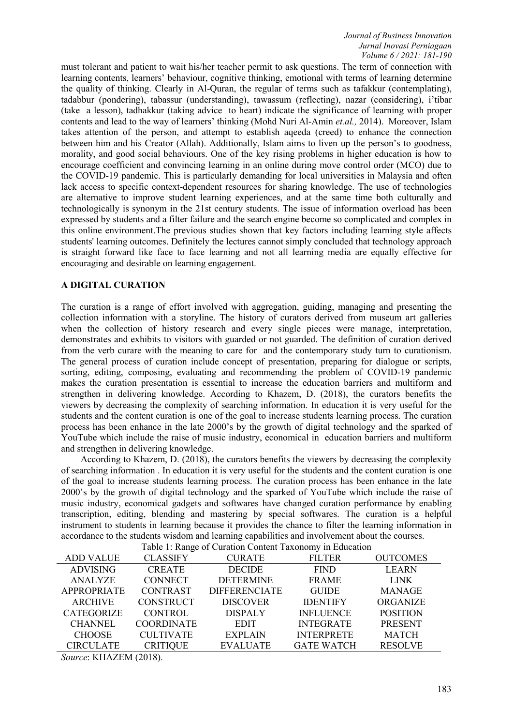must tolerant and patient to wait his/her teacher permit to ask questions. The term of connection with learning contents, learners' behaviour, cognitive thinking, emotional with terms of learning determine the quality of thinking. Clearly in Al-Quran, the regular of terms such as tafakkur (contemplating), tadabbur (pondering), tabassur (understanding), tawassum (reflecting), nazar (considering), i'tibar (take a lesson), tadhakkur (taking advice to heart) indicate the significance of learning with proper contents and lead to the way of learners' thinking (Mohd Nuri Al-Amin *et.al.,* 2014). Moreover, Islam takes attention of the person, and attempt to establish aqeeda (creed) to enhance the connection between him and his Creator (Allah). Additionally, Islam aims to liven up the person's to goodness, morality, and good social behaviours. One of the key rising problems in higher education is how to encourage coefficient and convincing learning in an online during move control order (MCO) due to the COVID-19 pandemic. This is particularly demanding for local universities in Malaysia and often lack access to specific context-dependent resources for sharing knowledge. The use of technologies are alternative to improve student learning experiences, and at the same time both culturally and technologically is synonym in the 21st century students. The issue of information overload has been expressed by students and a filter failure and the search engine become so complicated and complex in this online environment.The previous studies shown that key factors including learning style affects students' learning outcomes. Definitely the lectures cannot simply concluded that technology approach is straight forward like face to face learning and not all learning media are equally effective for encouraging and desirable on learning engagement.

### **A DIGITAL CURATION**

The curation is a range of effort involved with aggregation, guiding, managing and presenting the collection information with a storyline. The history of curators derived from museum art galleries when the collection of history research and every single pieces were manage, interpretation, demonstrates and exhibits to visitors with guarded or not guarded. The definition of curation derived from the verb curare with the meaning to care for and the contemporary study turn to curationism. The general process of curation include concept of presentation, preparing for dialogue or scripts, sorting, editing, composing, evaluating and recommending the problem of COVID-19 pandemic makes the curation presentation is essential to increase the education barriers and multiform and strengthen in delivering knowledge. According to Khazem, D. (2018), the curators benefits the viewers by decreasing the complexity of searching information. In education it is very useful for the students and the content curation is one of the goal to increase students learning process. The curation process has been enhance in the late 2000's by the growth of digital technology and the sparked of YouTube which include the raise of music industry, economical in education barriers and multiform and strengthen in delivering knowledge.

According to Khazem, D. (2018), the curators benefits the viewers by decreasing the complexity of searching information . In education it is very useful for the students and the content curation is one of the goal to increase students learning process. The curation process has been enhance in the late 2000's by the growth of digital technology and the sparked of YouTube which include the raise of music industry, economical gadgets and softwares have changed curation performance by enabling transcription, editing, blending and mastering by special softwares. The curation is a helpful instrument to students in learning because it provides the chance to filter the learning information in accordance to the students wisdom and learning capabilities and involvement about the courses.

| Table 1: Range of Curation Content Taxonomy in Education |                   |                      |                   |                 |  |  |  |
|----------------------------------------------------------|-------------------|----------------------|-------------------|-----------------|--|--|--|
| <b>ADD VALUE</b>                                         | <b>CLASSIFY</b>   | <b>CURATE</b>        | <b>FILTER</b>     | <b>OUTCOMES</b> |  |  |  |
| <b>ADVISING</b>                                          | <b>CREATE</b>     | <b>DECIDE</b>        | <b>FIND</b>       | <b>LEARN</b>    |  |  |  |
| ANALYZE                                                  | <b>CONNECT</b>    | <b>DETERMINE</b>     | <b>FRAME</b>      | <b>LINK</b>     |  |  |  |
| APPROPRIATE                                              | <b>CONTRAST</b>   | <b>DIFFERENCIATE</b> | <b>GUIDE</b>      | <b>MANAGE</b>   |  |  |  |
| ARCHIVE                                                  | <b>CONSTRUCT</b>  | <b>DISCOVER</b>      | <b>IDENTIFY</b>   | ORGANIZE        |  |  |  |
| <b>CATEGORIZE</b>                                        | <b>CONTROL</b>    | <b>DISPALY</b>       | <b>INFLUENCE</b>  | <b>POSITION</b> |  |  |  |
| <b>CHANNEL</b>                                           | <b>COORDINATE</b> | <b>EDIT</b>          | <b>INTEGRATE</b>  | <b>PRESENT</b>  |  |  |  |
| <b>CHOOSE</b>                                            | <b>CULTIVATE</b>  | <b>EXPLAIN</b>       | <b>INTERPRETE</b> | <b>MATCH</b>    |  |  |  |
| <b>CIRCULATE</b>                                         | <b>CRITIQUE</b>   | <b>EVALUATE</b>      | <b>GATE WATCH</b> | <b>RESOLVE</b>  |  |  |  |
| $\sim$ $\sim$<br>TTITL T T1 L (A010)                     |                   |                      |                   |                 |  |  |  |

*Source*: KHAZEM (2018).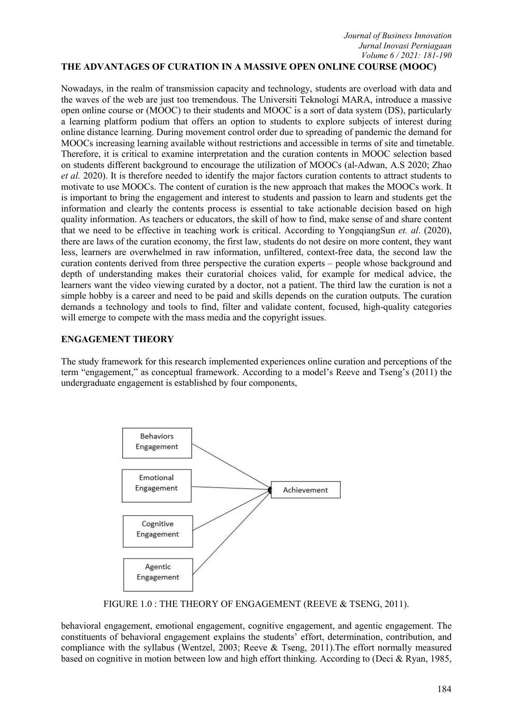*Journal of Business Innovation Jurnal Inovasi Perniagaan Volume 6 / 2021:181-190*

## **THE ADVANTAGES OF CURATION IN A MASSIVE OPEN ONLINE COURSE (MOOC)**

Nowadays, in the realm of transmission capacity and technology, students are overload with data and the waves of the web are just too tremendous. The Universiti Teknologi MARA, introduce a massive open online course or (MOOC) to their students and MOOC is a sort of data system (DS), particularly a learning platform podium that offers an option to students to explore subjects of interest during online distance learning. During movement control order due to spreading of pandemic the demand for MOOCs increasing learning available without restrictions and accessible in terms of site and timetable. Therefore, it is critical to examine interpretation and the curation contents in MOOC selection based on students different background to encourage the utilization of MOOCs (al-Adwan, A.S 2020; Zhao *et al.* 2020). It is therefore needed to identify the major factors curation contents to attract students to motivate to use MOOCs. The content of curation is the new approach that makes the MOOCs work. It is important to bring the engagement and interest to students and passion to learn and students get the information and clearly the contents process is essential to take actionable decision based on high quality information. As teachers or educators, the skill of how to find, make sense of and share content that we need to be effective in teaching work is critical. According to YongqiangSun *et. al*. (2020), there are laws of the curation economy, the first law, students do not desire on more content, they want less, learners are overwhelmed in raw information, unfiltered, context-free data, the second law the curation contents derived from three perspective the curation experts – people whose background and depth of understanding makes their curatorial choices valid, for example for medical advice, the learners want the video viewing curated by a doctor, not a patient. The third law the curation is not a simple hobby is a career and need to be paid and skills depends on the curation outputs. The curation demands a technology and tools to find, filter and validate content, focused, high-quality categories will emerge to compete with the mass media and the copyright issues.

### **ENGAGEMENT THEORY**

The study framework for this research implemented experiences online curation and perceptions ofthe term "engagement," as conceptual framework. According to a model's Reeve and Tseng's (2011) the undergraduate engagement is established by four components,



FIGURE 1.0 : THE THEORY OF ENGAGEMENT (REEVE & TSENG, 2011).

behavioral engagement, emotional engagement, cognitive engagement, and agentic engagement. The constituents of behavioral engagement explains the students' effort, determination, contribution, and compliance with the syllabus (Wentzel, 2003; Reeve & Tseng, 2011).The effort normally measured based on cognitive in motion between low and high effort thinking. According to (Deci & Ryan, 1985,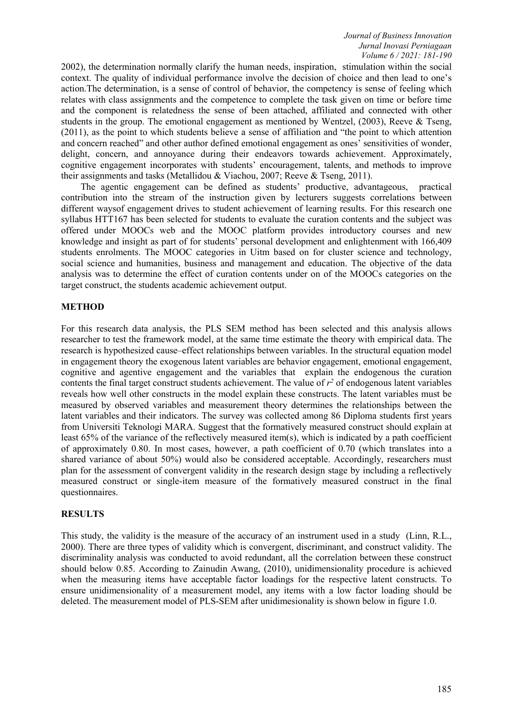2002), the determination normally clarify the human needs, inspiration, stimulation within the social context. The quality of individual performance involve the decision of choice and then lead to one's action.The determination, is a sense of control of behavior, the competency is sense of feeling which relates with class assignments and the competence to complete the task given on time or before time and the component is relatedness the sense of been attached, affiliated and connected with other students in the group. The emotional engagement as mentioned by Wentzel, (2003), Reeve & Tseng, (2011), as the point to which students believe a sense of affiliation and "the point to which attention and concern reached" and other author defined emotionalengagement as ones' sensitivities of wonder, delight, concern, and annoyance during their endeavors towards achievement. Approximately, cognitive engagement incorporates with students' encouragement, talents, and methods to improve their assignments and tasks (Metallidou & Viachou, 2007; Reeve & Tseng, 2011).

The agentic engagement can be defined as students' productive, advantageous, practical contribution into the stream of the instruction given by lecturers suggests correlations between different waysof engagement drives to student achievement of learning results. For this research one syllabus HTT167 has been selected for students to evaluate the curation contents and the subject was offered under MOOCs web and the MOOC platform provides introductory courses and new knowledge and insight as part of for students' personal development and enlightenment with 166,409 students enrolments. The MOOC categories in Uitm based on for cluster science and technology, social science and humanities, business and management and education. The objective of the data analysis was to determine the effect of curation contents under on of the MOOCs categories on the target construct, the students academic achievement output.

#### **METHOD**

For this research data analysis, the PLS SEM method has been selected and this analysis allows researcher to test the framework model, at the same time estimate the theory with empirical data. The research is hypothesized cause–effect relationships between variables. In the structural equation model in engagement theory the exogenous latent variables are behavior engagement, emotional engagement, cognitive and agentive engagement and the variables that explain the endogenous the curation contents the final target construct students achievement. The value of *r <sup>2</sup>* of endogenous latent variables reveals how well other constructs in the model explain these constructs. The latent variables must be measured by observed variables and measurement theory determines the relationships between the latent variables and their indicators. The survey was collected among 86 Diploma students first years from Universiti Teknologi MARA. Suggest that the formatively measured construct should explain at least 65% of the variance of the reflectively measured item(s), which is indicated by a path coefficient of approximately 0.80. In most cases, however, a path coefficient of 0.70 (which translates into a shared variance of about 50%) would also be considered acceptable. Accordingly, researchers must plan for the assessment of convergent validity in the research design stage by including a reflectively measured construct or single-item measure of the formatively measured construct in the final questionnaires.

#### **RESULTS**

This study, the validity is the measure of the accuracy of an instrument used in a study (Linn, R.L., 2000). There are three types of validity which is convergent, discriminant, and construct validity. The discriminality analysis was conducted to avoid redundant, all the correlation between these construct should below 0.85. According to Zainudin Awang,  $(2010)$ , unidimensionality procedure is achieved when the measuring items have acceptable factor loadings for the respective latent constructs. To ensure unidimensionality of a measurement model, any items with a low factor loading should be deleted. The measurement model of PLS-SEM after unidimesionality is shown below in figure 1.0.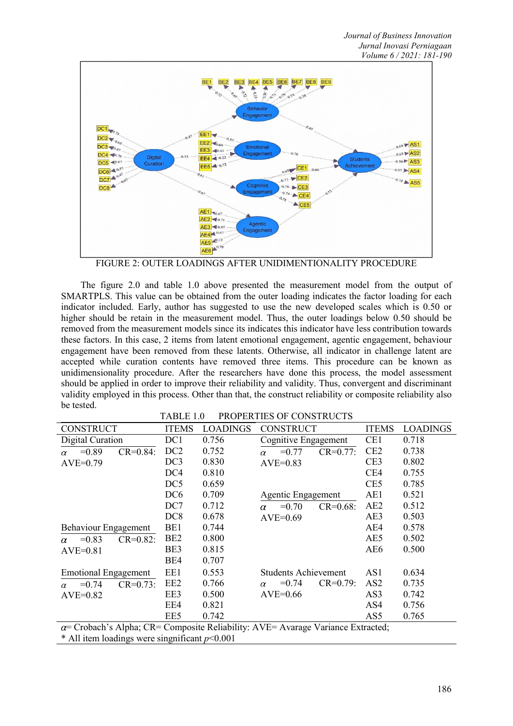

FIGURE 2: OUTER LOADINGS AFTER UNIDIMENTIONALITY PROCEDURE

The figure 2.0 and table 1.0 above presented the measurement model from the output of SMARTPLS. This value can be obtained from the outer loading indicates the factor loading for each indicator included. Early, author has suggested to use the new developed scales which is 0.50 or higher should be retain in the measurement model. Thus, the outer loadings below 0.50 should be removed from the measurement models since its indicates this indicator have less contribution towards these factors. In this case, 2 items from latent emotional engagement, agentic engagement, behaviour engagement have been removed from these latents. Otherwise, all indicator in challenge latent are accepted while curation contents have removed three items. This procedure can be known as unidimensionality procedure. After the researchers have done this process, the model assessment should be applied in order to improve their reliability and validity. Thus, convergent and discriminant validity employed in this process. Other than that, the construct reliability or composite reliability also be tested. TABLE 1.0 PROPERTIES OF CONSTRUCTS

|                                                                                         | 17 DUL 1.V      |                 | TROI ERTIEB OF CONSTRUCTS            |               |                 |                 |
|-----------------------------------------------------------------------------------------|-----------------|-----------------|--------------------------------------|---------------|-----------------|-----------------|
| <b>CONSTRUCT</b>                                                                        | <b>ITEMS</b>    | <b>LOADINGS</b> | <b>CONSTRUCT</b>                     |               | <b>ITEMS</b>    | <b>LOADINGS</b> |
| Digital Curation                                                                        | DC1             | 0.756           | Cognitive Engagement                 |               | CE1             | 0.718           |
| $CR = 0.84$ :<br>$=0.89$<br>$\alpha$                                                    | DC <sub>2</sub> | 0.752           | $CR = 0.77$ :<br>$=0.77$<br>$\alpha$ |               | CE2             | 0.738           |
| $AVE=0.79$                                                                              | DC <sub>3</sub> | 0.830           | $AVE=0.83$                           |               | CE3             | 0.802           |
|                                                                                         | DC4             | 0.810           |                                      |               | CE4             | 0.755           |
|                                                                                         | DC <sub>5</sub> | 0.659           |                                      |               | CE5             | 0.785           |
|                                                                                         | DC6             | 0.709           | Agentic Engagement                   |               | AE1             | 0.521           |
|                                                                                         | DC7             | 0.712           | $=0.70$<br>$\alpha$                  | $CR = 0.68$ : | AE2             | 0.512           |
|                                                                                         | DC <sub>8</sub> | 0.678           | $AVE=0.69$                           |               | AE3             | 0.503           |
| Behaviour Engagement                                                                    | BE1             | 0.744           |                                      |               | AE4             | 0.578           |
| $=0.83$<br>$CR = 0.82$ :<br>$\alpha$                                                    | BE <sub>2</sub> | 0.800           |                                      |               | AE5             | 0.502           |
| $AVE=0.81$                                                                              | BE3             | 0.815           |                                      |               | AE6             | 0.500           |
|                                                                                         | BE4             | 0.707           |                                      |               |                 |                 |
| <b>Emotional Engagement</b>                                                             | EE1             | 0.553           | <b>Students Achievement</b>          |               | AS1             | 0.634           |
| $CR = 0.73$ :<br>$=0.74$<br>$\alpha$                                                    | EE2             | 0.766           | $=0.74$<br>$\alpha$                  | $CR=0.79$ :   | AS <sub>2</sub> | 0.735           |
| $AVE=0.82$                                                                              | EE3             | 0.500           | $AVE=0.66$                           |               | AS3             | 0.742           |
|                                                                                         | EE4             | 0.821           |                                      |               | AS4             | 0.756           |
|                                                                                         | EE5             | 0.742           |                                      |               | AS5             | 0.765           |
| $\alpha$ = Crobach's Alpha; CR= Composite Reliability: AVE= Avarage Variance Extracted; |                 |                 |                                      |               |                 |                 |

\* All item loadings were singnificant *p*<0.001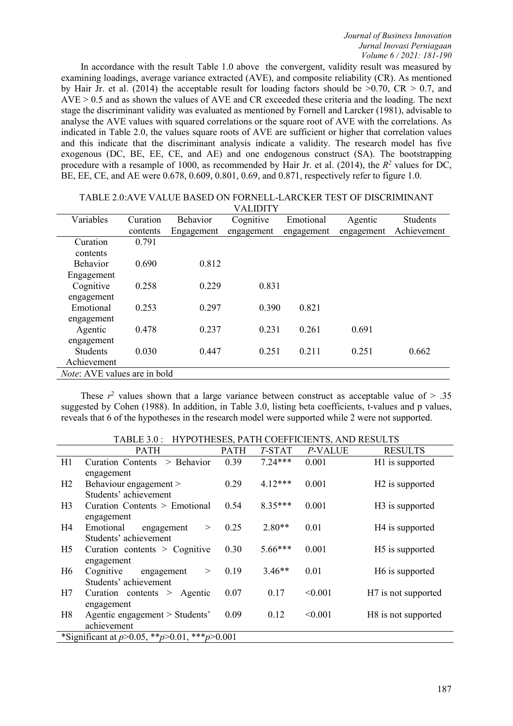In accordance with the result Table 1.0 above the convergent, validity result was measured by examining loadings, average variance extracted (AVE), and composite reliability (CR). As mentioned by Hair Jr. et al. (2014) the acceptable result for loading factors should be  $>0.70$ , CR  $> 0.7$ , and  $AVE > 0.5$  and as shown the values of  $AVE$  and CR exceeded these criteria and the loading. The next stage the discriminant validity was evaluated as mentioned by Fornell and Larcker (1981), advisable to analyse the AVE values with squared correlations or the square root of AVE with the correlations. As indicated in Table 2.0, the values square roots of AVE are sufficient or higher that correlation values and this indicate that the discriminant analysis indicate a validity. The research model has five exogenous (DC, BE, EE, CE, and AE) and one endogenous construct (SA). The bootstrapping procedure with a resample of 1000, as recommended by Hair Jr. et al. (2014), the *R <sup>2</sup>* values for DC, BE, EE, CE, and AE were 0.678, 0.609, 0.801, 0.69, and 0.871, respectively refer to figure 1.0.

| <b>VALIDITY</b>              |          |                 |            |            |            |                 |
|------------------------------|----------|-----------------|------------|------------|------------|-----------------|
| Variables                    | Curation | <b>Behavior</b> | Cognitive  | Emotional  | Agentic    | <b>Students</b> |
|                              | contents | Engagement      | engagement | engagement | engagement | Achievement     |
| Curation                     | 0.791    |                 |            |            |            |                 |
| contents                     |          |                 |            |            |            |                 |
| Behavior                     | 0.690    | 0.812           |            |            |            |                 |
| Engagement                   |          |                 |            |            |            |                 |
| Cognitive                    | 0.258    | 0.229           | 0.831      |            |            |                 |
| engagement                   |          |                 |            |            |            |                 |
| Emotional                    | 0.253    | 0.297           | 0.390      | 0.821      |            |                 |
| engagement                   |          |                 |            |            |            |                 |
| Agentic                      | 0.478    | 0.237           | 0.231      | 0.261      | 0.691      |                 |
| engagement                   |          |                 |            |            |            |                 |
| <b>Students</b>              | 0.030    | 0.447           | 0.251      | 0.211      | 0.251      | 0.662           |
| Achievement                  |          |                 |            |            |            |                 |
| Note: AVE values are in bold |          |                 |            |            |            |                 |

These  $r^2$  values shown that a large variance between construct as acceptable value of  $> .35$ suggested by Cohen (1988). In addition, in Table 3.0, listing beta coefficients, t-values and p values, reveals that 6 of the hypotheses in the research model were supported while 2 were not supported.

TABLE 3.0 : HYPOTHESES, PATH COEFFICIENTS, AND RESULTS

|                |                                                        | 1.111       |           |         |                                 |
|----------------|--------------------------------------------------------|-------------|-----------|---------|---------------------------------|
|                | <b>PATH</b>                                            | <b>PATH</b> | T-STAT    | P-VALUE | <b>RESULTS</b>                  |
| H1             | <b>Curation Contents</b><br>> Behavior                 | 0.39        | $7.24***$ | 0.001   | H1 is supported                 |
|                | engagement                                             |             |           |         |                                 |
| H2             | Behaviour engagement >                                 | 0.29        | $4.12***$ | 0.001   | H <sub>2</sub> is supported     |
|                | Students' achievement                                  |             |           |         |                                 |
| H <sub>3</sub> | Curation Contents > Emotional                          | 0.54        | $8.35***$ | 0.001   | H <sub>3</sub> is supported     |
|                | engagement                                             |             |           |         |                                 |
| H4             | Emotional<br>engagement<br>>                           | 0.25        | $2.80**$  | 0.01    | H <sub>4</sub> is supported     |
|                | Students' achievement                                  |             |           |         |                                 |
| H <sub>5</sub> | Curation contents $>$ Cognitive                        | 0.30        | $5.66***$ | 0.001   | H <sub>5</sub> is supported     |
|                | engagement                                             |             |           |         |                                 |
| H <sub>6</sub> | Cognitive<br>engagement<br>>                           | 0.19        | $3.46**$  | 0.01    | H6 is supported                 |
|                | Students' achievement                                  |             |           |         |                                 |
| H7             | Curation contents $>$ Agentic                          | 0.07        | 0.17      | < 0.001 | H <sub>7</sub> is not supported |
|                | engagement                                             |             |           |         |                                 |
| H8             | Agentic engagement > Students'                         | 0.09        | 0.12      | < 0.001 | H <sub>8</sub> is not supported |
|                | achievement                                            |             |           |         |                                 |
|                | *Significant at $p>0.05$ , ** $p>0.01$ , *** $p>0.001$ |             |           |         |                                 |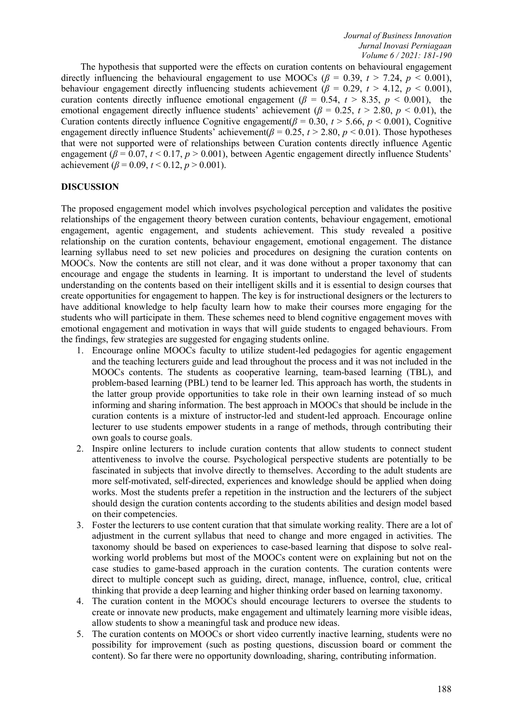The hypothesis that supported were the effects on curation contents on behavioural engagement directly influencing the behavioural engagement to use MOOCs ( $\beta$  = 0.39, *t* > 7.24, *p* < 0.001), behaviour engagement directly influencing students achievement ( $\beta$  = 0.29,  $t$  > 4.12,  $p$  < 0.001), curation contents directly influence emotional engagement ( $\beta$  = 0.54,  $t > 8.35$ ,  $p < 0.001$ ), the emotional engagement directly influence students' achievement ( $\beta = 0.25$ ,  $t > 2.80$ ,  $p < 0.01$ ), the Curation contents directly influence Cognitive engagement( $\beta$  = 0.30,  $t$  > 5.66,  $p$  < 0.001), Cognitive engagement directly influence Students' achievement( $\beta$  = 0.25, *t* > 2.80, *p* < 0.01). Those hypotheses that were not supported were of relationships between Curation contents directly influence Agentic engagement ( $\beta$  = 0.07, *t* < 0.17, *p* > 0.001), between Agentic engagement directly influence Students' achievement ( $\beta$  = 0.09, *t* < 0.12, *p* > 0.001).

#### **DISCUSSION**

The proposed engagement model which involves psychological perception and validates the positive relationships of the engagement theory between curation contents, behaviour engagement, emotional engagement, agentic engagement, and students achievement. This study revealed a positive relationship on the curation contents, behaviour engagement, emotional engagement. The distance learning syllabus need to set new policies and procedures on designing the curation contents on MOOCs. Now the contents are still not clear, and it was done without a proper taxonomy that can encourage and engage the students in learning. It is important to understand the level of students understanding on the contents based on their intelligent skills and it is essential to design courses that create opportunities for engagement to happen. The key is for instructional designers orthe lecturers to have additional knowledge to help faculty learn how to make their courses more engaging for the students who will participate in them. These schemes need to blend cognitive engagement moves with emotional engagement and motivation in ways that will guide students to engaged behaviours. From the findings, few strategies are suggested for engaging students online.

- 1. Encourage online MOOCs faculty to utilize student-led pedagogies for agentic engagement and the teaching lecturers guide and lead throughout the process and it was not included in the MOOCs contents. The students as cooperative learning, team-based learning (TBL), and problem-based learning (PBL) tend to be learner led. This approach has worth, the students in the latter group provide opportunities to take role in their own learning instead of so much informing and sharing information. The best approach in MOOCs that should be include in the curation contents is a mixture of instructor-led and student-led approach. Encourage online lecturer to use students empower students in a range of methods, through contributing their own goals to course goals.
- 2. Inspire online lecturers to include curation contents that allow students to connect student attentiveness to involve the course. Psychological perspective students are potentially to be fascinated in subjects that involve directly to themselves. According to the adult students are more self-motivated, self-directed, experiences and knowledge should be applied when doing works. Most the students prefer a repetition in the instruction and the lecturers of the subject should design the curation contents according to the students abilities and design model based on their competencies.
- 3. Foster the lecturers to use content curation that that simulate working reality. There are a lot of adjustment in the current syllabus that need to change and more engaged in activities. The taxonomy should be based on experiences to case-based learning that dispose to solve real working world problems but most of the MOOCs content were on explaining but not on the case studies to game-based approach in the curation contents. The curation contents were direct to multiple concept such as guiding, direct, manage, influence, control, clue, critical thinking that provide a deep learning and higher thinking order based on learning taxonomy.
- 4. The curation content in the MOOCs should encourage lecturers to oversee the students to create or innovate new products, make engagement and ultimately learning more visible ideas, allow students to show a meaningful task and produce new ideas.
- 5. The curation contents on MOOCs orshort video currently inactive learning, students were no possibility for improvement (such as posting questions, discussion board or comment the content). So far there were no opportunity downloading, sharing, contributing information.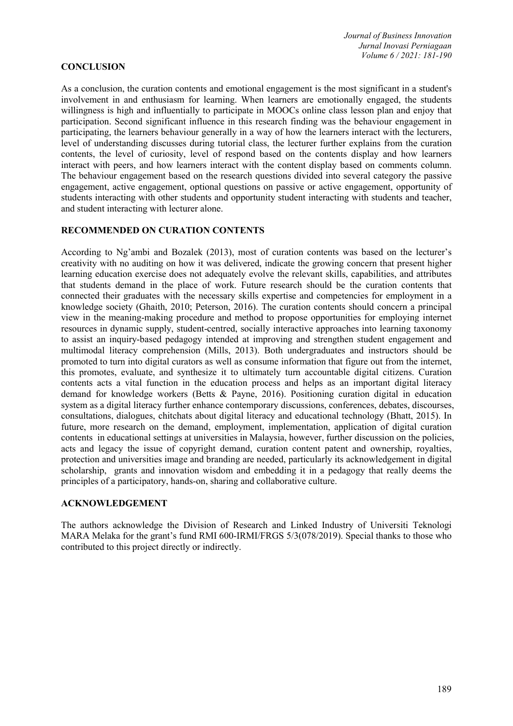## **CONCLUSION**

As a conclusion, the curation contents and emotional engagement is the most significant in a student's involvement in and enthusiasm for learning. When learners are emotionally engaged, the students willingness is high and influentially to participate in MOOCs online class lesson plan and enjoy that participation. Second significant influence in this research finding was the behaviour engagement in participating, the learners behaviour generally in a way of how the learners interact with the lecturers, level of understanding discusses during tutorial class, the lecturer further explains from the curation contents, the level of curiosity, level of respond based on the contents display and how learners interact with peers, and how learners interact with the content display based on comments column. The behaviour engagement based on the research questions divided into several category the passive engagement, active engagement, optional questions on passive or active engagement, opportunity of students interacting with other students and opportunity student interacting with students and teacher, and student interacting with lecturer alone.

#### **RECOMMENDED ON CURATION CONTENTS**

According to Ng'ambi and Bozalek (2013), most of curation contents was based on the lecturer's creativity with no auditing on how it was delivered, indicate the growing concern that present higher learning education exercise does not adequately evolve the relevant skills, capabilities, and attributes that students demand in the place of work. Future research should be the curation contents that connected their graduates with the necessary skills expertise and competencies for employment in a knowledge society (Ghaith, 2010; Peterson, 2016). The curation contents should concern a principal view in the meaning-making procedure and method to propose opportunities for employing internet resources in dynamic supply, student-centred, socially interactive approaches into learning taxonomy to assist an inquiry-based pedagogy intended at improving and strengthen student engagement and multimodal literacy comprehension (Mills, 2013). Both undergraduates and instructors should be promoted to turn into digital curators as well as consume information that figure out from the internet, this promotes, evaluate, and synthesize it to ultimately turn accountable digital citizens. Curation contents acts a vital function in the education process and helps as an important digital literacy demand for knowledge workers (Betts & Payne, 2016). Positioning curation digital in education system as a digital literacy further enhance contemporary discussions, conferences, debates, discourses, consultations, dialogues, chitchats about digital literacy and educational technology (Bhatt, 2015). In future, more research on the demand, employment, implementation, application of digital curation contents in educational settings at universities in Malaysia, however, further discussion on the policies, acts and legacy the issue of copyright demand, curation content patent and ownership, royalties, protection and universities image and branding are needed, particularly its acknowledgement in digital scholarship, grants and innovation wisdom and embedding it in a pedagogy that really deems the principles of a participatory, hands-on, sharing and collaborative culture.

#### **ACKNOWLEDGEMENT**

The authors acknowledge the Division of Research and Linked Industry of Universiti Teknologi MARA Melaka for the grant's fund RMI 600-IRMI/FRGS 5/3(078/2019). Special thanks to those who contributed to this project directly or indirectly.